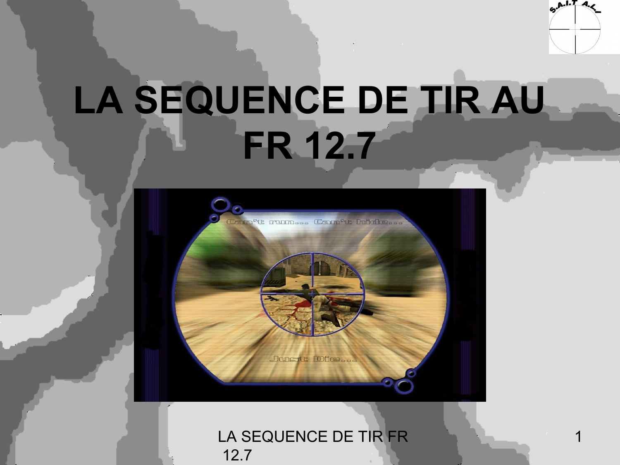

1

# **LA SEQUENCE DE TIR AU FR 12.7**

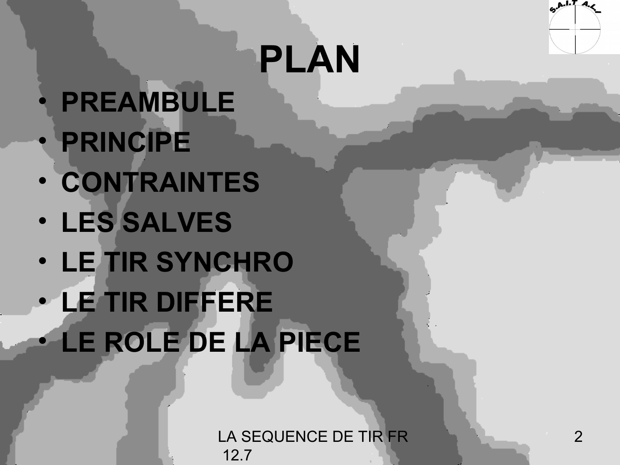# **PLAN**

- **PREAMBULE**
- **PRINCIPE**
- **CONTRAINTES**
- **LES SALVES**
- **LE TIR SYNCHRO**
- **LE TIR DIFFERE** • **LE ROLE DE LA PIECE**

LA SEQUENCE DE TIR FR 12.7

 $6 - A - I$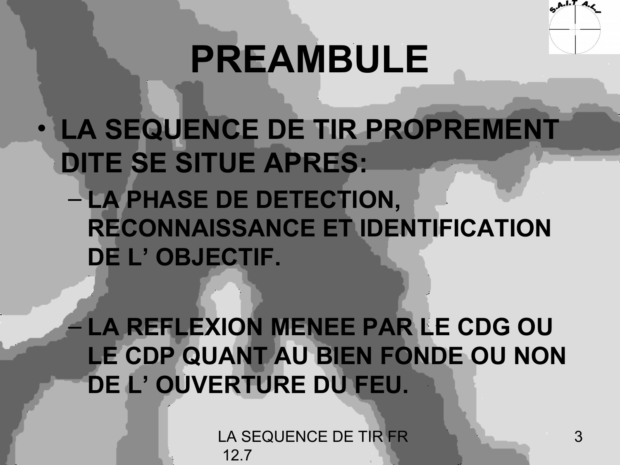

### **PREAMBULE**

- **LA SEQUENCE DE TIR PROPREMENT DITE SE SITUE APRES:**
	- **LA PHASE DE DETECTION, RECONNAISSANCE ET IDENTIFICATION DE L' OBJECTIF.**
		- **LA REFLEXION MENEE PAR LE CDG OU**  LE CDP QUANT AU BIEN FONDE OU NON **DE L' OUVERTURE DU FEU.**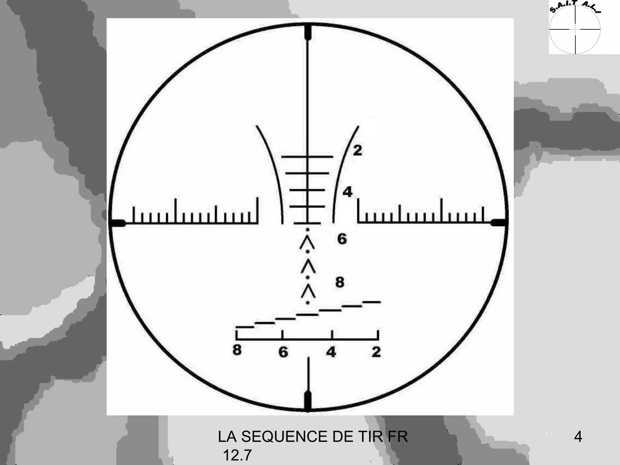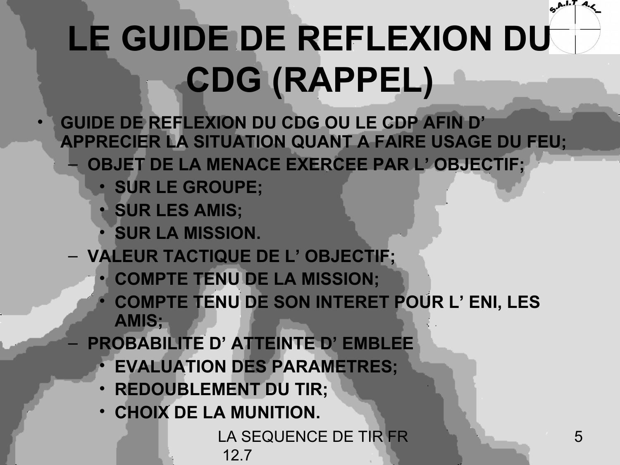## **LE GUIDE DE REFLEXION DU CDG (RAPPEL)**

- **GUIDE DE REFLEXION DU CDG OU LE CDP AFIN D' APPRECIER LA SITUATION QUANT A FAIRE USAGE DU FEU;**
	- **OBJET DE LA MENACE EXERCEE PAR L' OBJECTIF;**
		- **SUR LE GROUPE;**
		- **SUR LES AMIS;**
		- **SUR LA MISSION.**
	- **VALEUR TACTIQUE DE L' OBJECTIF;**
		- **COMPTE TENU DE LA MISSION;**
		- **COMPTE TENU DE SON INTERET POUR L' ENI, LES AMIS;**
		- **PROBABILITE D' ATTEINTE D' EMBLEE**
			- **EVALUATION DES PARAMETRES;**
			- **REDOUBLEMENT DU TIR;**
			- **CHOIX DE LA MUNITION.**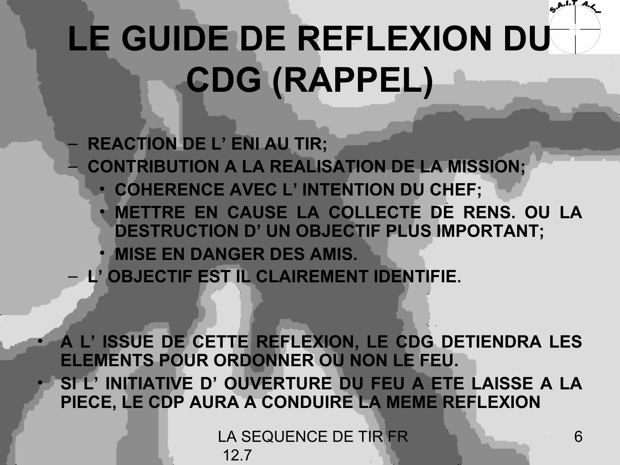### **LE GUIDE DE REFLEXION DU CDG (RAPPEL)**

– **REACTION DE L' ENI AU TIR;**

- **CONTRIBUTION A LA REALISATION DE LA MISSION;**
	- **COHERENCE AVEC L' INTENTION DU CHEF;**
	- **METTRE EN CAUSE LA COLLECTE DE RENS. OU LA DESTRUCTION D' UN OBJECTIF PLUS IMPORTANT;**
	- **MISE EN DANGER DES AMIS.**
- **L' OBJECTIF EST IL CLAIREMENT IDENTIFIE.**

• **A L' ISSUE DE CETTE REFLEXION, LE CDG DETIENDRA LES ELEMENTS POUR ORDONNER OU NON LE FEU.** • **SI L' INITIATIVE D' OUVERTURE DU FEU A ETE LAISSE A LA PIECE, LE CDP AURA A CONDUIRE LA MEME REFLEXION**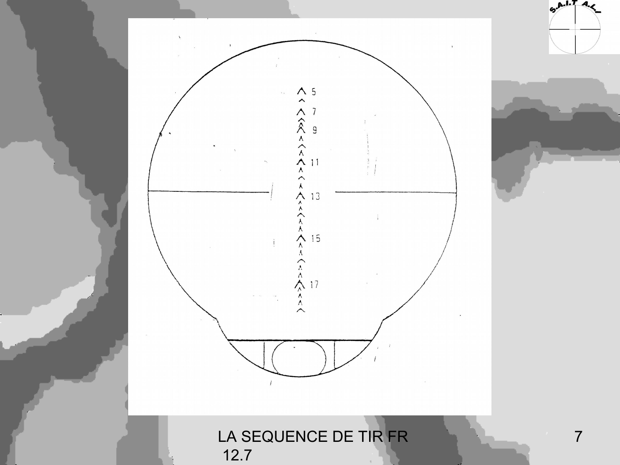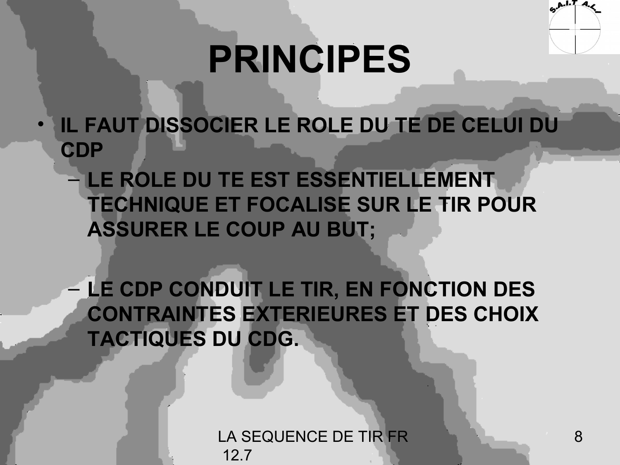

### **PRINCIPES**

- **IL FAUT DISSOCIER LE ROLE DU TE DE CELUI DU CDP**
	- **LE ROLE DU TE EST ESSENTIELLEMENT TECHNIQUE ET FOCALISE SUR LE TIR POUR ASSURER LE COUP AU BUT;**

**LE CDP CONDUIT LE TIR, EN FONCTION DES CONTRAINTES EXTERIEURES ET DES CHOIX TACTIQUES DU CDG.**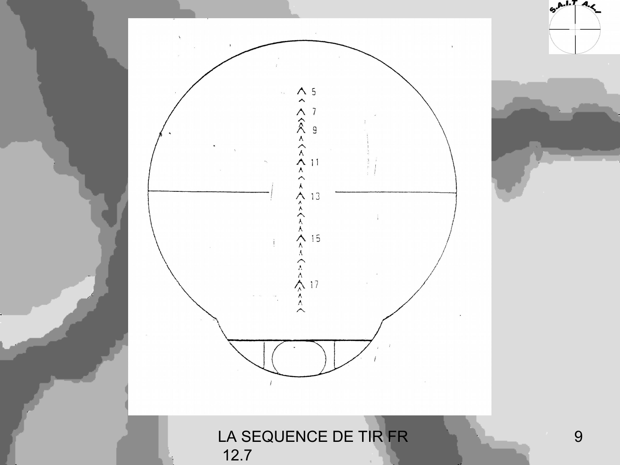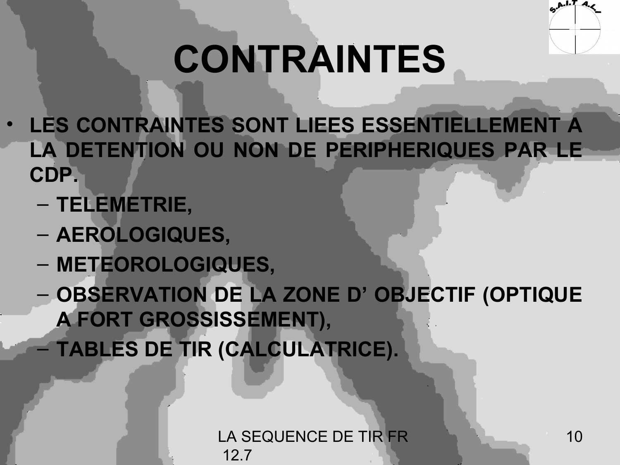

# **CONTRAINTES**

- **LES CONTRAINTES SONT LIEES ESSENTIELLEMENT A LA DETENTION OU NON DE PERIPHERIQUES PAR LE CDP.**
	- **TELEMETRIE,**
	- **AEROLOGIQUES,**
	- **METEOROLOGIQUES,**
	- **OBSERVATION DE LA ZONE D' OBJECTIF (OPTIQUE A FORT GROSSISSEMENT),**
		- **TABLES DE TIR (CALCULATRICE).**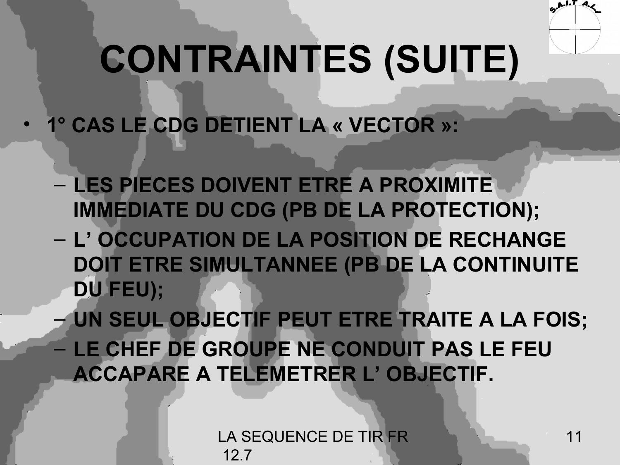

11

# **CONTRAINTES (SUITE)**

- **1° CAS LE CDG DETIENT LA « VECTOR »:**
	- **LES PIECES DOIVENT ETRE A PROXIMITE IMMEDIATE DU CDG (PB DE LA PROTECTION);**
	- **L' OCCUPATION DE LA POSITION DE RECHANGE DOIT ETRE SIMULTANNEE (PB DE LA CONTINUITE DU FEU);**
	- **UN SEUL OBJECTIF PEUT ETRE TRAITE A LA FOIS;**
		- **LE CHEF DE GROUPE NE CONDUIT PAS LE FEU ACCAPARE A TELEMETRER L' OBJECTIF.**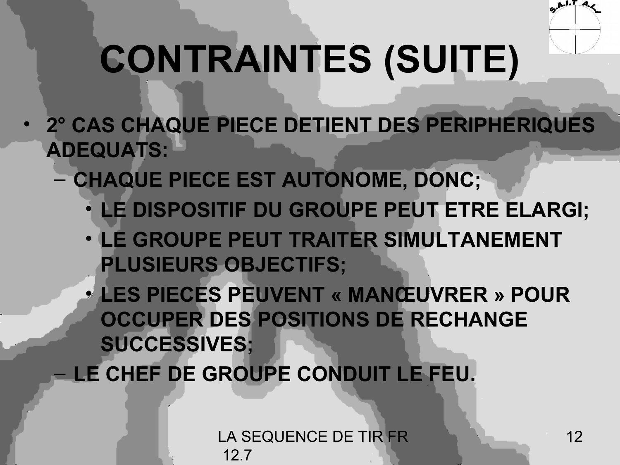

# **CONTRAINTES (SUITE)**

- **2° CAS CHAQUE PIECE DETIENT DES PERIPHERIQUES ADEQUATS:**
	- **CHAQUE PIECE EST AUTONOME, DONC;**
		- **LE DISPOSITIF DU GROUPE PEUT ETRE ELARGI;**
		- **LE GROUPE PEUT TRAITER SIMULTANEMENT PLUSIEURS OBJECTIFS;**
		- **LES PIECES PEUVENT « MANŒUVRER » POUR OCCUPER DES POSITIONS DE RECHANGE SUCCESSIVES;**
		- **LE CHEF DE GROUPE CONDUIT LE FEU.**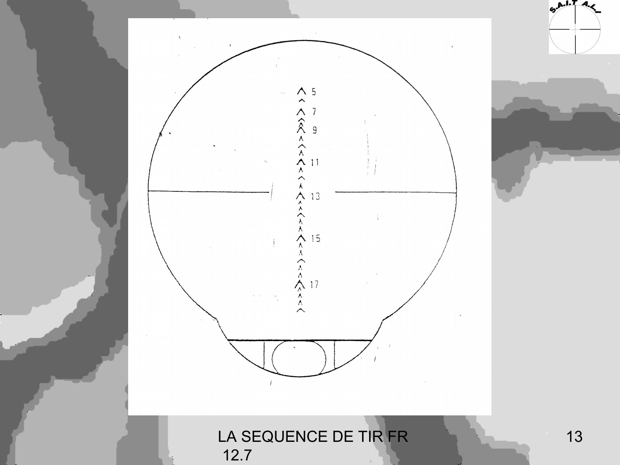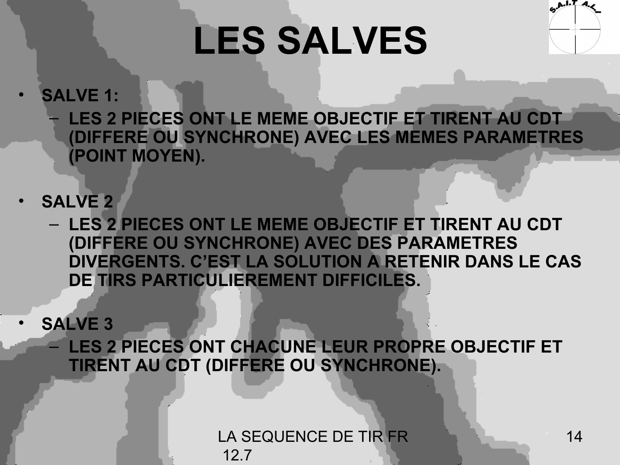## **LES SALVES**



#### • **SALVE 1:**

– **LES 2 PIECES ONT LE MEME OBJECTIF ET TIRENT AU CDT (DIFFERE OU SYNCHRONE) AVEC LES MEMES PARAMETRES (POINT MOYEN).**

### • **SALVE 2**

– **LES 2 PIECES ONT LE MEME OBJECTIF ET TIRENT AU CDT (DIFFERE OU SYNCHRONE) AVEC DES PARAMETRES DIVERGENTS. C'EST LA SOLUTION A RETENIR DANS LE CAS DE TIRS PARTICULIEREMENT DIFFICILES.**

• **SALVE 3**

– **LES 2 PIECES ONT CHACUNE LEUR PROPRE OBJECTIF ET TIRENT AU CDT (DIFFERE OU SYNCHRONE).**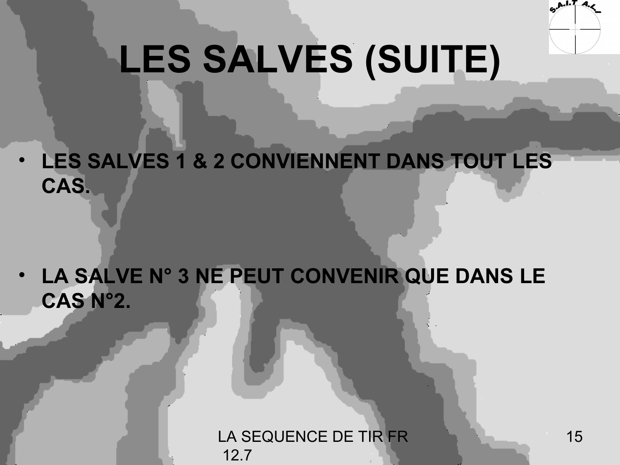

# **LES SALVES (SUITE)**

• **LES SALVES 1 & 2 CONVIENNENT DANS TOUT LES CAS.**

• **LA SALVE N° 3 NE PEUT CONVENIR QUE DANS LE CAS N°2.**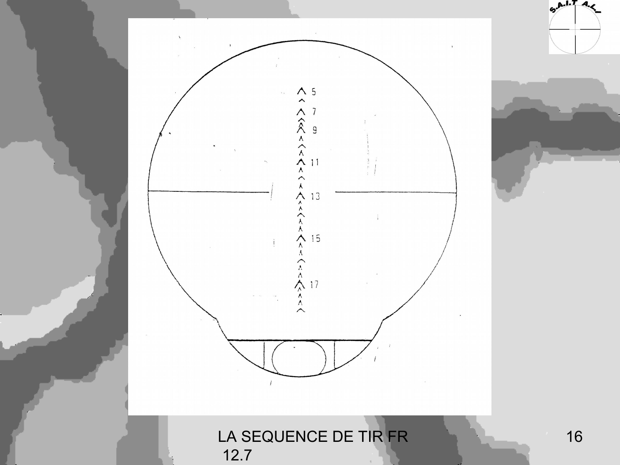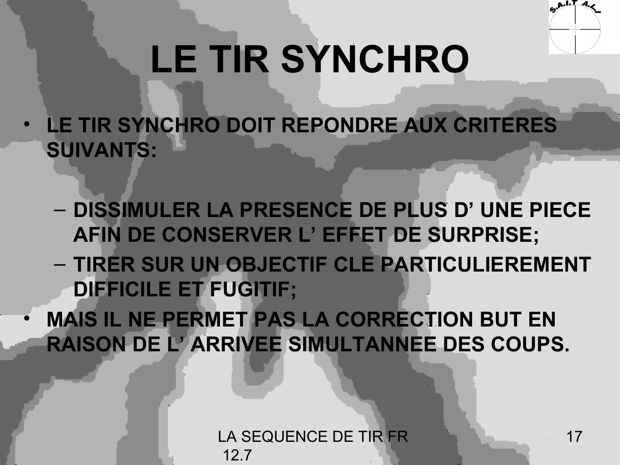

# **LE TIR SYNCHRO**

- **LE TIR SYNCHRO DOIT REPONDRE AUX CRITERES SUIVANTS:**
	- **DISSIMULER LA PRESENCE DE PLUS D' UNE PIECE AFIN DE CONSERVER L' EFFET DE SURPRISE;**
	- **TIRER SUR UN OBJECTIF CLE PARTICULIEREMENT DIFFICILE ET FUGITIF;**
- **MAIS IL NE PERMET PAS LA CORRECTION BUT EN RAISON DE L' ARRIVEE SIMULTANNEE DES COUPS.**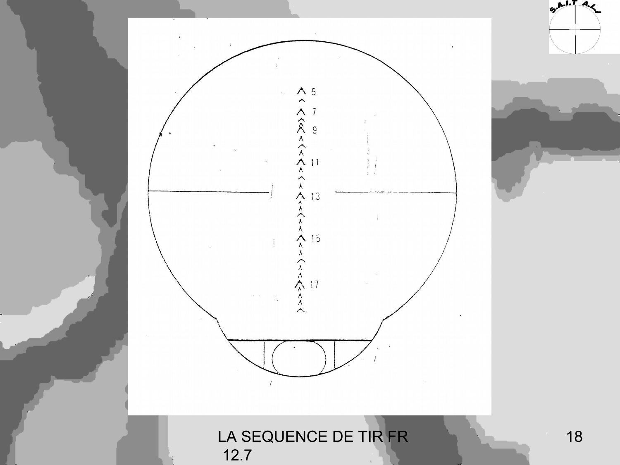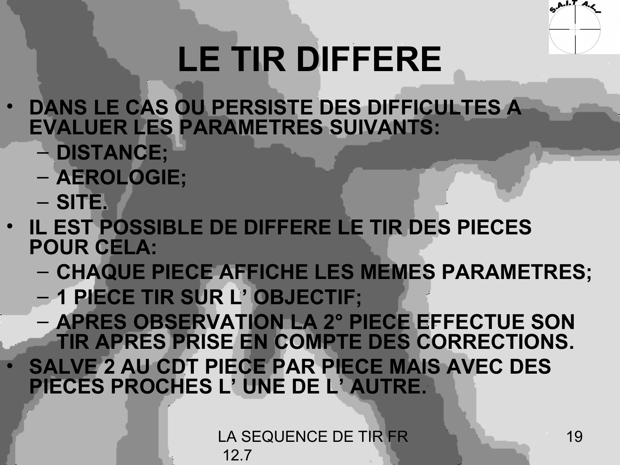### **LE TIR DIFFERE**

- **DANS LE CAS OU PERSISTE DES DIFFICULTES A EVALUER LES PARAMETRES SUIVANTS:**
	- **DISTANCE;**
	- **AEROLOGIE;**
	- **SITE.**
- **IL EST POSSIBLE DE DIFFERE LE TIR DES PIECES POUR CELA:**
	- **CHAQUE PIECE AFFICHE LES MEMES PARAMETRES;**
	- **1 PIECE TIR SUR L' OBJECTIF;**

– **APRES OBSERVATION LA 2° PIECE EFFECTUE SON TIR APRES PRISE EN COMPTE DES CORRECTIONS.**

• **SALVE 2 AU CDT PIECE PAR PIECE MAIS AVEC DES PIECES PROCHES L' UNE DE L' AUTRE.**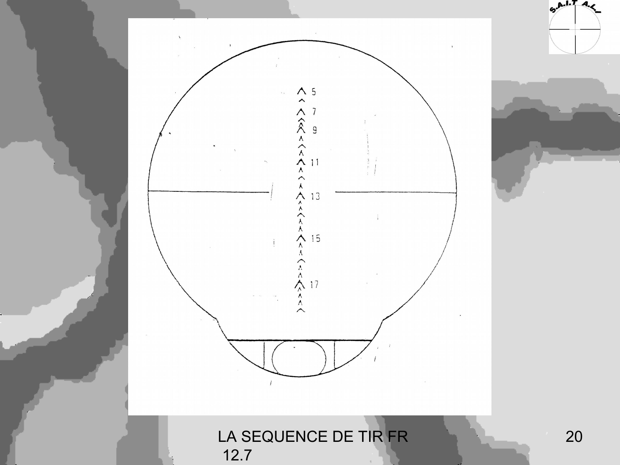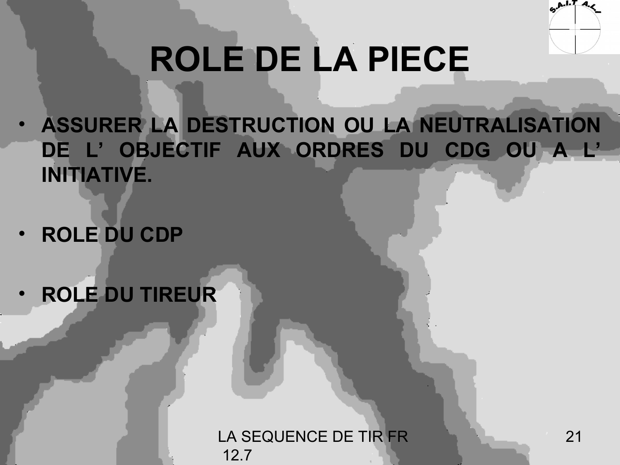

### **ROLE DE LA PIECE**

- **ASSURER LA DESTRUCTION OU LA NEUTRALISATION DE L' OBJECTIF AUX ORDRES DU CDG OU A L' INITIATIVE.**
- **ROLE DU CDP**
- **ROLE DU TIREUR**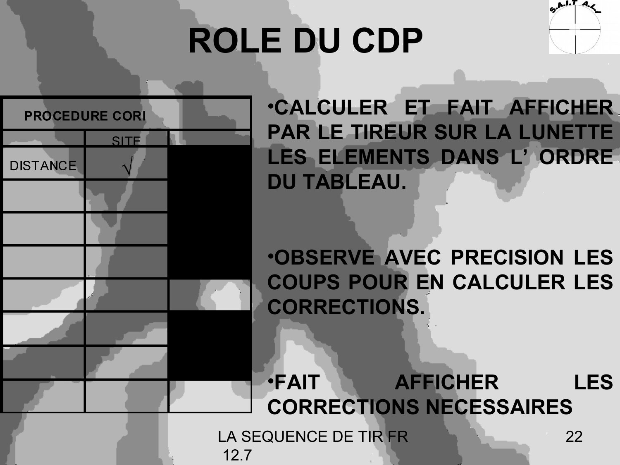### **ROLE DU CDP**





•**CALCULER ET FAIT AFFICHER PAR LE TIREUR SUR LA LUNETTE LES ELEMENTS DANS L' ORDRE DU TABLEAU.**

•**OBSERVE AVEC PRECISION LES COUPS POUR EN CALCULER LES CORRECTIONS.**

•**FAIT AFFICHER LES CORRECTIONS NECESSAIRES**

LA SEQUENCE DE TIR FR 12.7

22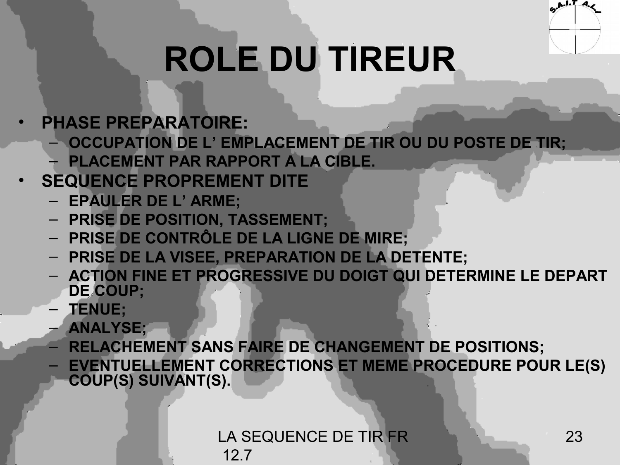# $6<sup>A-1.7</sup>$

### **ROLE DU TIREUR**

- **PHASE PREPARATOIRE:**
	- **OCCUPATION DE L' EMPLACEMENT DE TIR OU DU POSTE DE TIR;**
	- **PLACEMENT PAR RAPPORT A LA CIBLE.**
- **SEQUENCE PROPREMENT DITE**
	- **EPAULER DE L' ARME;**
	- **PRISE DE POSITION, TASSEMENT;**
	- **PRISE DE CONTRÔLE DE LA LIGNE DE MIRE;**
	- **PRISE DE LA VISEE, PREPARATION DE LA DETENTE;**
	- **ACTION FINE ET PROGRESSIVE DU DOIGT QUI DETERMINE LE DEPART DE COUP;**
	- **TENUE;**
	- **ANALYSE;**
	- **RELACHEMENT SANS FAIRE DE CHANGEMENT DE POSITIONS;**
		- **EVENTUELLEMENT CORRECTIONS ET MEME PROCEDURE POUR LE(S) COUP(S) SUIVANT(S).**